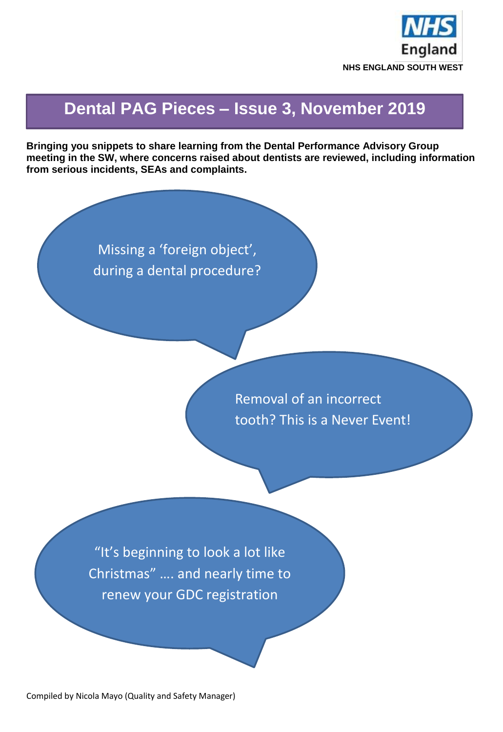

## **Dental PAG Pieces – Issue 3, November 2019**

**Bringing you snippets to share learning from the Dental Performance Advisory Group meeting in the SW, where concerns raised about dentists are reviewed, including information from serious incidents, SEAs and complaints.**

> Missing a 'foreign object', during a dental procedure?

> > Removal of an incorrect tooth? This is a Never Event!

"It's beginning to look a lot like Christmas" …. and nearly time to renew your GDC registration

Compiled by Nicola Mayo (Quality and Safety Manager)